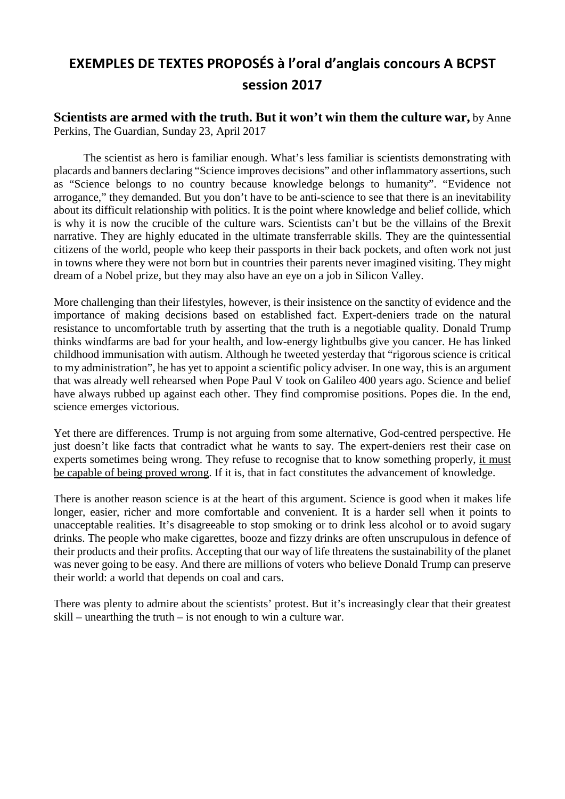# **EXEMPLES DE TEXTES PROPOSÉS à l'oral d'anglais concours A BCPST session 2017**

**Scientists are armed with the truth. But it won't win them the culture war,** by Anne Perkins, The Guardian, Sunday 23, April 2017

 The scientist as hero is familiar enough. What's less familiar is scientists demonstrating with placards and banners declaring "Science improves decisions" and other inflammatory assertions, such as "Science belongs to no country because knowledge belongs to humanity". "Evidence not arrogance," they demanded. But you don't have to be anti-science to see that there is an inevitability about its difficult relationship with politics. It is the point where knowledge and belief collide, which is why it is now the crucible of the culture wars. Scientists can't but be the villains of the Brexit narrative. They are highly educated in the ultimate transferrable skills. They are the quintessential citizens of the world, people who keep their passports in their back pockets, and often work not just in towns where they were not born but in countries their parents never imagined visiting. They might dream of a Nobel prize, but they may also have an eye on a job in Silicon Valley.

More challenging than their lifestyles, however, is their insistence on the sanctity of evidence and the importance of making decisions based on established fact. Expert-deniers trade on the natural resistance to uncomfortable truth by asserting that the truth is a negotiable quality. Donald Trump thinks windfarms are bad for your health, and low-energy lightbulbs give you cancer. He has linked childhood immunisation with autism. Although he tweeted yesterday that "rigorous science is critical to my administration", he has yet to appoint a scientific policy adviser. In one way, this is an argument that was already well rehearsed when Pope Paul V took on Galileo 400 years ago. Science and belief have always rubbed up against each other. They find compromise positions. Popes die. In the end, science emerges victorious.

Yet there are differences. Trump is not arguing from some alternative, God-centred perspective. He just doesn't like facts that contradict what he wants to say. The expert-deniers rest their case on experts sometimes being wrong. They refuse to recognise that to know something properly, [it must](https://en.wikipedia.org/wiki/Falsifiability)  [be capable of being proved wrong.](https://en.wikipedia.org/wiki/Falsifiability) If it is, that in fact constitutes the advancement of knowledge.

There is another reason science is at the heart of this argument. Science is good when it makes life longer, easier, richer and more comfortable and convenient. It is a harder sell when it points to unacceptable realities. It's disagreeable to stop smoking or to drink less alcohol or to avoid sugary drinks. The people who make cigarettes, booze and fizzy drinks are often unscrupulous in defence of their products and their profits. Accepting that our way of life threatens the sustainability of the planet was never going to be easy. And there are millions of voters who believe Donald Trump can preserve their world: a world that depends on coal and cars.

There was plenty to admire about the scientists' protest. But it's increasingly clear that their greatest skill – unearthing the truth – is not enough to win a culture war.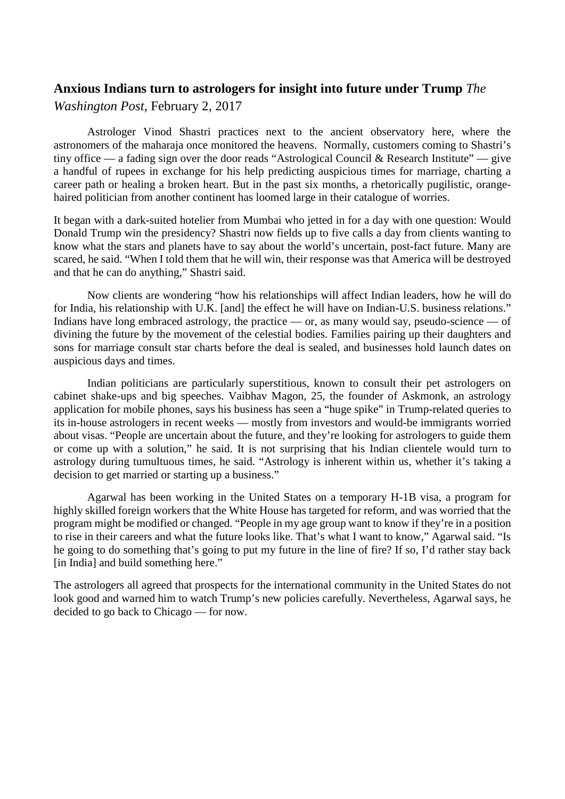### **Anxious Indians turn to astrologers for insight into future under Trump** *The*

*Washington Post*, February 2, 2017

Astrologer Vinod Shastri practices next to the ancient observatory here, where the astronomers of the maharaja once monitored the heavens. Normally, customers coming to Shastri's tiny office — a fading sign over the door reads "Astrological Council & Research Institute" — give a handful of rupees in exchange for his help predicting auspicious times for marriage, charting a career path or healing a broken heart. But in the past six months, a rhetorically pugilistic, orangehaired politician from another continent has loomed large in their catalogue of worries.

It began with a dark-suited hotelier from Mumbai who jetted in for a day with one question: Would Donald Trump win the presidency? Shastri now fields up to five calls a day from clients wanting to know what the stars and planets have to say about the world's uncertain, post-fact future. Many are scared, he said. "When I told them that he will win, their response was that America will be destroyed and that he can do anything," Shastri said.

Now clients are wondering "how his relationships will affect Indian leaders, how he will do for India, his relationship with U.K. [and] the effect he will have on Indian-U.S. business relations." Indians have long embraced astrology, the practice — or, as many would say, pseudo-science — of divining the future by the movement of the celestial bodies. Families pairing up their daughters and sons for marriage consult star charts before the deal is sealed, and businesses hold launch dates on auspicious days and times.

Indian politicians are particularly superstitious, known to consult their pet astrologers on cabinet shake-ups and big speeches. Vaibhav Magon, 25, the founder of Askmonk, an astrology application for mobile phones, says his business has seen a "huge spike" in Trump-related queries to its in-house astrologers in recent weeks — mostly from investors and would-be immigrants worried about visas. "People are uncertain about the future, and they're looking for astrologers to guide them or come up with a solution," he said. It is not surprising that his Indian clientele would turn to astrology during tumultuous times, he said. "Astrology is inherent within us, whether it's taking a decision to get married or starting up a business."

Agarwal has been working in the United States on a temporary H-1B visa, a program for highly skilled foreign workers that the White House has targeted for reform, and was worried that the program might be modified or changed. "People in my age group want to know if they're in a position to rise in their careers and what the future looks like. That's what I want to know," Agarwal said. "Is he going to do something that's going to put my future in the line of fire? If so, I'd rather stay back [in India] and build something here."

The astrologers all agreed that prospects for the international community in the United States do not look good and warned him to watch Trump's new policies carefully. Nevertheless, Agarwal says, he decided to go back to Chicago — for now.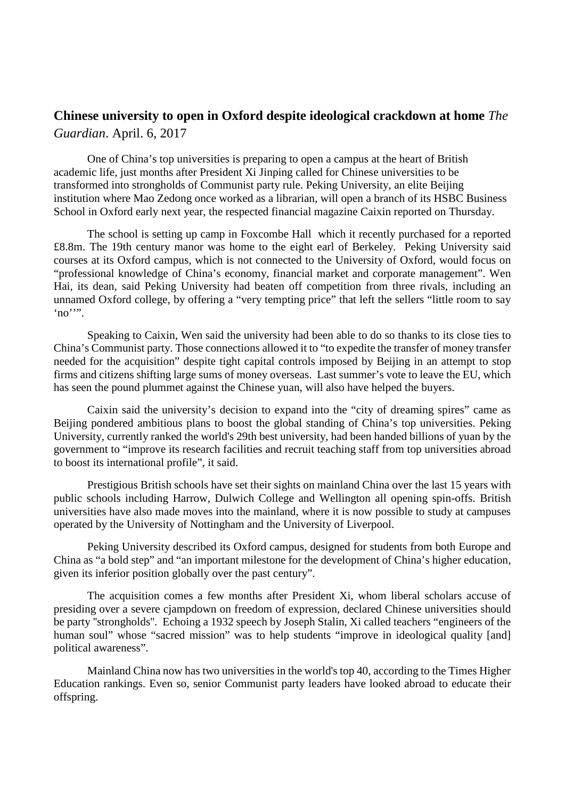## **Chinese university to open in Oxford despite ideological crackdown at home** *The Guardian*. April. 6, 2017

One of China's top universities is preparing to open a campus at the heart of British academic life, just months after President Xi Jinping called for Chinese universities to be transformed into strongholds of Communist party rule. Peking University, an elite Beijing institution where Mao Zedong once worked as a librarian, will open a branch of its HSBC Business School in Oxford early next year, the respected financial magazine Caixin reported on Thursday.

The school is setting up camp in Foxcombe Hall which it recently purchased for a reported £8.8m. The 19th century manor was home to the eight earl of Berkeley. Peking University said courses at its Oxford campus, which is not connected to the University of Oxford, would focus on "professional knowledge of China's economy, financial market and corporate management". Wen Hai, its dean, said Peking University had beaten off competition from three rivals, including an unnamed Oxford college, by offering a "very tempting price" that left the sellers "little room to say 'no''".

Speaking to Caixin, Wen said the university had been able to do so thanks to its close ties to China's Communist party. Those connections allowed it to "to expedite the transfer of money transfer needed for the acquisition" despite tight capital controls imposed by Beijing in an attempt to stop firms and citizens shifting large sums of money overseas. Last summer's vote to leave the EU, which has seen the pound plummet against the Chinese yuan, will also have helped the buyers.

Caixin said the university's decision to expand into the "city of dreaming spires" came as Beijing pondered ambitious plans to boost the global standing of China's top universities. Peking University, currently ranked the world's 29th best university, had been handed billions of yuan by the government to "improve its research facilities and recruit teaching staff from top universities abroad to boost its international profile", it said.

Prestigious British schools have set their sights on mainland China over the last 15 years with public schools including Harrow, Dulwich College and Wellington all opening spin-offs. British universities have also made moves into the mainland, where it is now possible to study at campuses operated by the University of Nottingham and the University of Liverpool.

Peking University described its Oxford campus, designed for students from both Europe and China as "a bold step" and "an important milestone for the development of China's higher education, given its inferior position globally over the past century".

The acquisition comes a few months after President Xi, whom liberal scholars accuse of presiding over a severe cjampdown on freedom of expression, declared Chinese universities should be party ''strongholds''. Echoing a 1932 speech by Joseph Stalin, Xi called teachers "engineers of the human soul" whose "sacred mission" was to help students "improve in ideological quality [and] political awareness".

Mainland China now has two universities in the world's top 40, according to the Times Higher Education rankings. Even so, senior Communist party leaders have looked abroad to educate their offspring.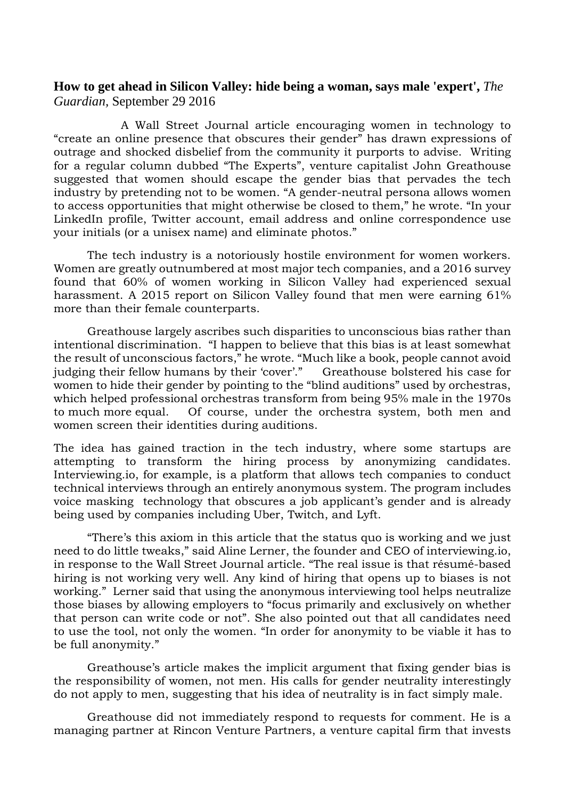#### **How to get ahead in Silicon Valley: hide being a woman, says male 'expert',** *The Guardian,* September 29 2016

A Wall Street Journal article encouraging women in technology to "create an online presence that obscures their gender" has drawn expressions of outrage and shocked disbelief from the community it purports to advise. Writing for a regular column dubbed "The Experts", venture capitalist John Greathouse suggested that women should escape the gender bias that pervades the tech industry by pretending not to be women. "A gender-neutral persona allows women to access opportunities that might otherwise be closed to them," he wrote. "In your LinkedIn profile, Twitter account, email address and online correspondence use your initials (or a unisex name) and eliminate photos."

The tech industry is a notoriously hostile environment for women workers. Women are greatly outnumbered at most major tech companies, and a 2016 survey found that 60% of women working in Silicon Valley had experienced sexual harassment. A 2015 report on Silicon Valley found that men were earning 61% more than their female counterparts.

Greathouse largely ascribes such disparities to unconscious bias rather than intentional discrimination. "I happen to believe that this bias is at least somewhat the result of unconscious factors," he wrote. "Much like a book, people cannot avoid judging their fellow humans by their 'cover'." Greathouse bolstered his case for women to hide their gender by pointing to the "blind auditions" used by orchestras, which helped professional orchestras transform from being 95% male in the 1970s to much more equal. Of course, under the orchestra system, both men and women screen their identities during auditions.

The idea has gained traction in the tech industry, where some startups are attempting to transform the hiring process by anonymizing candidates. Interviewing.io, for example, is a platform that allows tech companies to conduct technical interviews through an entirely anonymous system. The program includes voice masking technology that obscures a job applicant's gender and is already being used by companies including Uber, Twitch, and Lyft.

"There's this axiom in this article that the status quo is working and we just need to do little tweaks," said Aline Lerner, the founder and CEO of interviewing.io, in response to the Wall Street Journal article. "The real issue is that résumé-based hiring is not working very well. Any kind of hiring that opens up to biases is not working." Lerner said that using the anonymous interviewing tool helps neutralize those biases by allowing employers to "focus primarily and exclusively on whether that person can write code or not". She also pointed out that all candidates need to use the tool, not only the women. "In order for anonymity to be viable it has to be full anonymity."

Greathouse's article makes the implicit argument that fixing gender bias is the responsibility of women, not men. His calls for gender neutrality interestingly do not apply to men, suggesting that his idea of neutrality is in fact simply male.

Greathouse did not immediately respond to requests for comment. He is a managing partner at Rincon Venture Partners, a venture capital firm that invests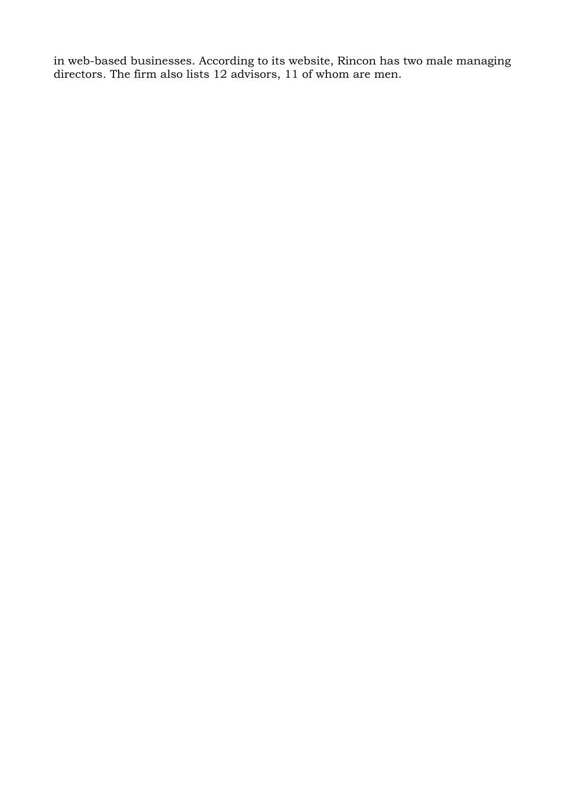in web-based businesses. According to its website, Rincon has two male managing directors. The firm also lists 12 advisors, 11 of whom are men.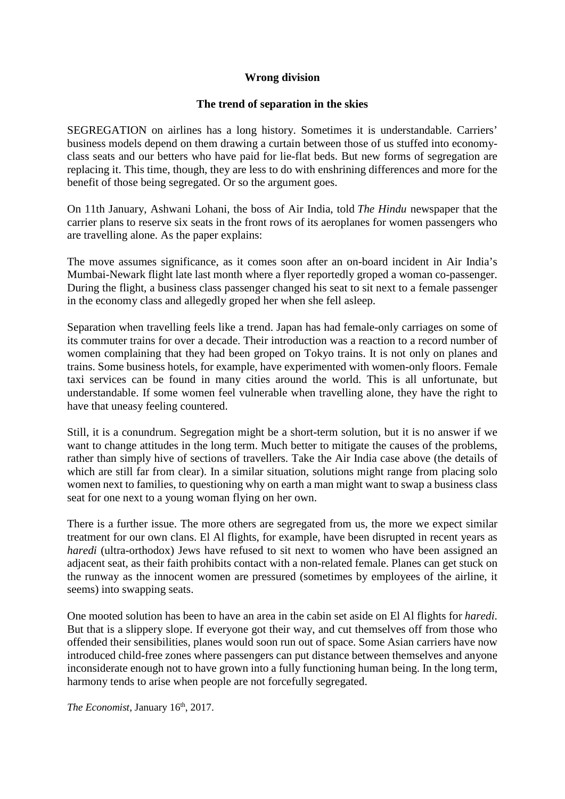#### **Wrong division**

#### **The trend of separation in the skies**

SEGREGATION on airlines has a long history. Sometimes it is understandable. Carriers' business models depend on them drawing a curtain between those of us stuffed into economyclass seats and our betters who have paid for lie-flat beds. But new forms of segregation are replacing it. This time, though, they are less to do with enshrining differences and more for the benefit of those being segregated. Or so the argument goes.

On 11th January, Ashwani Lohani, the boss of Air India, told *The Hindu* newspaper that the carrier plans to reserve six seats in the front rows of its aeroplanes for women passengers who are travelling alone. As the paper explains:

The move assumes significance, as it comes soon after an on-board incident in Air India's Mumbai-Newark flight late last month where a flyer reportedly groped a woman co-passenger. During the flight, a business class passenger changed his seat to sit next to a female passenger in the economy class and allegedly groped her when she fell asleep.

Separation when travelling feels like a trend. Japan has had female-only carriages on some of its commuter trains for over a decade. Their introduction was a reaction to a record number of women complaining that they had been groped on Tokyo trains. It is not only on planes and trains. Some business hotels, for example, have experimented with women-only floors. Female taxi services can be found in many cities around the world. This is all unfortunate, but understandable. If some women feel vulnerable when travelling alone, they have the right to have that uneasy feeling countered.

Still, it is a conundrum. Segregation might be a short-term solution, but it is no answer if we want to change attitudes in the long term. Much better to mitigate the causes of the problems, rather than simply hive of sections of travellers. Take the Air India case above (the details of which are still far from clear). In a similar situation, solutions might range from placing solo women next to families, to questioning why on earth a man might want to swap a business class seat for one next to a young woman flying on her own.

There is a further issue. The more others are segregated from us, the more we expect similar treatment for our own clans. El Al flights, for example, have been disrupted in recent years as *haredi* (ultra-orthodox) Jews have refused to sit next to women who have been assigned an adjacent seat, as their faith prohibits contact with a non-related female. Planes can get stuck on the runway as the innocent women are pressured (sometimes by employees of the airline, it seems) into swapping seats.

One mooted solution has been to have an area in the cabin set aside on El Al flights for *haredi*. But that is a slippery slope. If everyone got their way, and cut themselves off from those who offended their sensibilities, planes would soon run out of space. Some Asian carriers have now introduced child-free zones where passengers can put distance between themselves and anyone inconsiderate enough not to have grown into a fully functioning human being. In the long term, harmony tends to arise when people are not forcefully segregated.

*The Economist*, January 16<sup>th</sup>, 2017.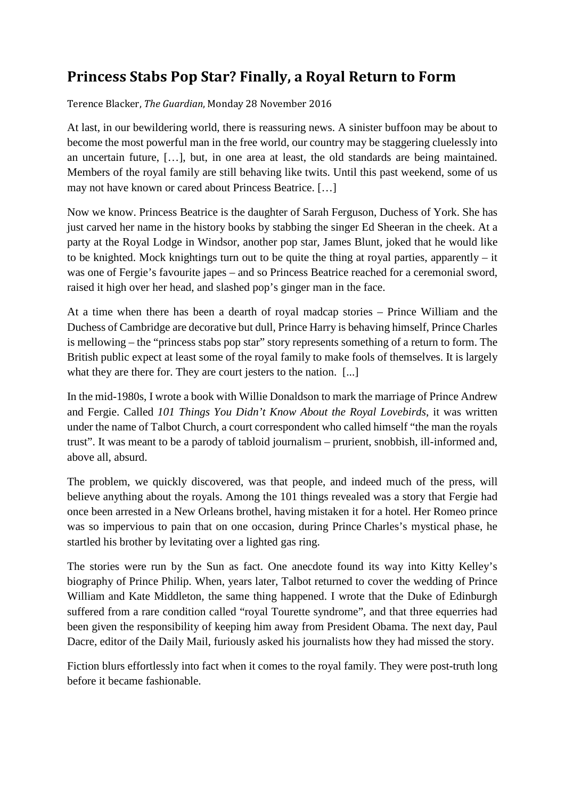# **Princess Stabs Pop Star? Finally, a Royal Return to Form**

Terence Blacker, *The Guardian*, Monday 28 November 2016

At last, in our bewildering world, there is reassuring news. A sinister buffoon may be about to become the most powerful man in the free world, our country may be staggering cluelessly into an uncertain future, […], but, in one area at least, the old standards are being maintained. Members of the royal family are still behaving like twits. Until this past weekend, some of us may not have known or cared about Princess Beatrice. […]

Now we know. Princess Beatrice is the daughter of Sarah Ferguson, Duchess of York. She has just carved her name in the history books by stabbing the singer Ed Sheeran in the cheek. At a party at the Royal Lodge in Windsor, another pop star, James Blunt, joked that he would like to be knighted. Mock knightings turn out to be quite the thing at royal parties, apparently – it was one of Fergie's favourite japes – and so Princess Beatrice reached for a ceremonial sword, raised it high over her head, and slashed pop's ginger man in the face.

At a time when there has been a dearth of royal madcap stories – Prince William and the Duchess of Cambridge are decorative but dull, Prince Harry is behaving himself, Prince Charles is mellowing – the "princess stabs pop star" story represents something of a return to form. The British public expect at least some of the royal family to make fools of themselves. It is largely what they are there for. They are court jesters to the nation. [...]

In the mid-1980s, I wrote a book with Willie Donaldson to mark the marriage of Prince Andrew and Fergie. Called *101 Things You Didn't Know About the Royal Lovebirds*, it was written under the name of Talbot Church, a court correspondent who called himself "the man the royals trust". It was meant to be a parody of tabloid journalism – prurient, snobbish, ill-informed and, above all, absurd.

The problem, we quickly discovered, was that people, and indeed much of the press, will believe anything about the royals. Among the 101 things revealed was a story that Fergie had once been arrested in a New Orleans brothel, having mistaken it for a hotel. Her Romeo prince was so impervious to pain that on one occasion, during Prince Charles's mystical phase, he startled his brother by levitating over a lighted gas ring.

The stories were run by the Sun as fact. One anecdote found its way into Kitty Kelley's biography of Prince Philip. When, years later, Talbot returned to cover the wedding of Prince William and Kate Middleton, the same thing happened. I wrote that the Duke of Edinburgh suffered from a rare condition called "royal Tourette syndrome", and that three equerries had been given the responsibility of keeping him away from President Obama. The next day, Paul Dacre, editor of the Daily Mail, furiously asked his journalists how they had missed the story.

Fiction blurs effortlessly into fact when it comes to the royal family. They were post-truth long before it became fashionable.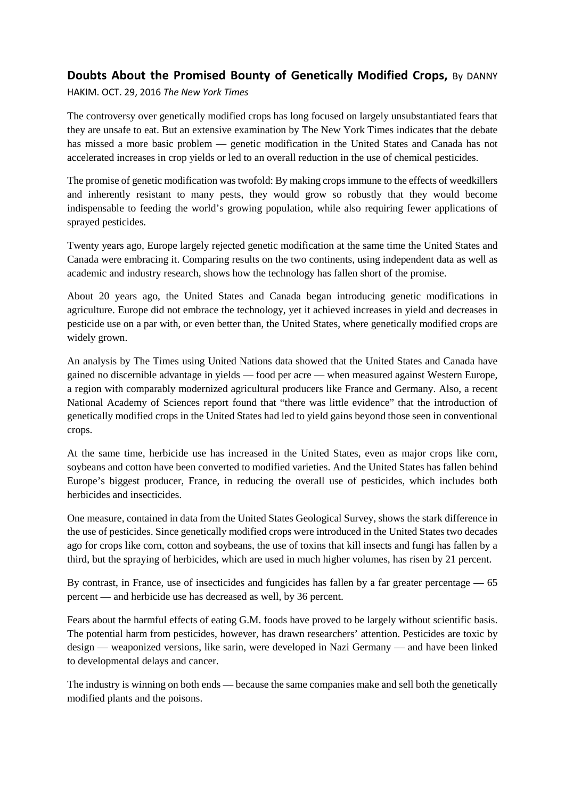#### **Doubts About the Promised Bounty of Genetically Modified Crops,** By DANNY

HAKIM. OCT. 29, 2016 *The New York Times*

The controversy over genetically modified crops has long focused on largely unsubstantiated fears that they are unsafe to eat. But an extensive examination by The New York Times indicates that the debate has missed a more basic problem — genetic modification in the United States and Canada has not accelerated increases in crop yields or led to an overall reduction in the use of chemical pesticides.

The promise of genetic modification was twofold: By making crops immune to the effects of weedkillers and inherently resistant to many pests, they would grow so robustly that they would become indispensable to feeding the world's growing population, while also requiring fewer applications of sprayed pesticides.

Twenty years ago, Europe largely rejected genetic modification at the same time the United States and Canada were embracing it. Comparing results on the two continents, using independent data as well as academic and industry research, shows how the technology has fallen short of the promise.

About 20 years ago, the United States and Canada began introducing genetic modifications in agriculture. Europe did not embrace the technology, yet it achieved increases in yield and decreases in pesticide use on a par with, or even better than, the United States, where genetically modified crops are widely grown.

An analysis by The Times using United Nations data showed that the United States and Canada have gained no discernible advantage in yields — food per acre — when measured against Western Europe, a region with comparably modernized agricultural producers like France and Germany. Also, a recent National Academy of Sciences report found that "there was little evidence" that the introduction of genetically modified crops in the United States had led to yield gains beyond those seen in conventional crops.

At the same time, herbicide use has increased in the United States, even as major crops like corn, soybeans and cotton have been converted to modified varieties. And the United States has fallen behind Europe's biggest producer, France, in reducing the overall use of pesticides, which includes both herbicides and insecticides.

One measure, contained in data from the United States Geological Survey, shows the stark difference in the use of pesticides. Since genetically modified crops were introduced in the United States two decades ago for crops like corn, cotton and soybeans, the use of toxins that kill insects and fungi has fallen by a third, but the spraying of herbicides, which are used in much higher volumes, has risen by 21 percent.

By contrast, in France, use of insecticides and fungicides has fallen by a far greater percentage — 65 percent — and herbicide use has decreased as well, by 36 percent.

Fears about the harmful effects of eating G.M. foods have proved to be largely without scientific basis. The potential harm from pesticides, however, has drawn researchers' attention. Pesticides are toxic by design — weaponized versions, like sarin, were developed in Nazi Germany — and have been linked to developmental delays and cancer.

The industry is winning on both ends — because the same companies make and sell both the genetically modified plants and the poisons.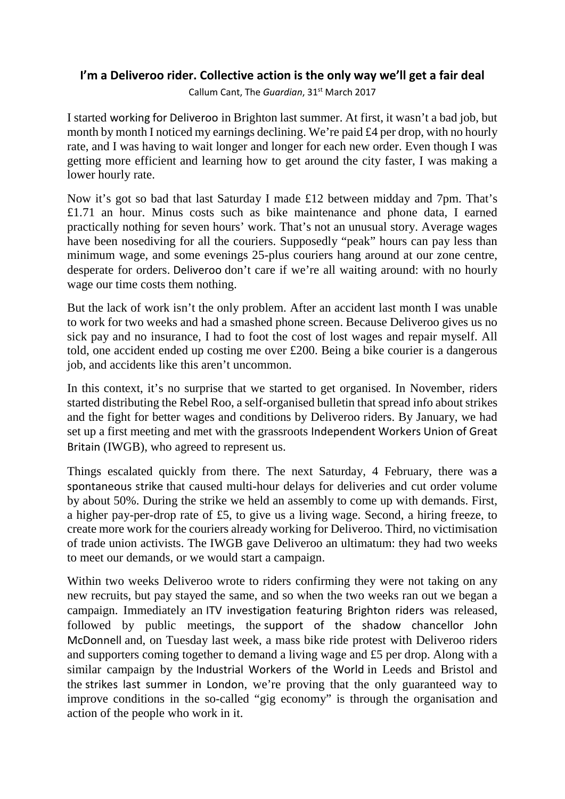## **I'm a Deliveroo rider. Collective action is the only way we'll get a fair deal**

Callum Cant, The *Guardian*, 31st March 2017

I started [working for Deliveroo](https://www.theguardian.com/business/2017/mar/27/deliveroo-riders-plan-legal-action-over-employment-rights) in Brighton last summer. At first, it wasn't a bad job, but month by month I noticed my earnings declining. We're paid £4 per drop, with no hourly rate, and I was having to wait longer and longer for each new order. Even though I was getting more efficient and learning how to get around the city faster, I was making a lower hourly rate.

Now it's got so bad that last Saturday I made £12 between midday and 7pm. That's £1.71 an hour. Minus costs such as bike maintenance and phone data, I earned practically nothing for seven hours' work. That's not an unusual story. Average wages have been nosediving for all the couriers. Supposedly "peak" hours can pay less than minimum wage, and some evenings 25-plus couriers hang around at our zone centre, desperate for orders. [Deliveroo](https://www.theguardian.com/business/deliveroo) don't care if we're all waiting around: with no hourly wage our time costs them nothing.

But the lack of work isn't the only problem. After an accident last month I was unable to work for two weeks and had a smashed phone screen. Because Deliveroo gives us no sick pay and no insurance, I had to foot the cost of lost wages and repair myself. All told, one accident ended up costing me over £200. Being a bike courier is a dangerous job, and accidents like this aren't uncommon.

In this context, it's no surprise that we started to get organised. In November, riders started distributing the Rebel Roo, a self-organised bulletin that spread info about strikes and the fight for better wages and conditions by Deliveroo riders. By January, we had set up a first meeting and met with the grassroots [Independent Workers Union of Great](https://iwgb.org.uk/)  [Britain](https://iwgb.org.uk/) (IWGB), who agreed to represent us.

Things escalated quickly from there. The next Saturday, 4 February, there was [a](http://www.socialistparty.org.uk/articles/24632)  [spontaneous strike](http://www.socialistparty.org.uk/articles/24632) that caused multi-hour delays for deliveries and cut order volume by about 50%. During the strike we held an assembly to come up with demands. First, a higher pay-per-drop rate of £5, to give us a living wage. Second, a hiring freeze, to create more work for the couriers already working for Deliveroo. Third, no victimisation of trade union activists. The IWGB gave Deliveroo an ultimatum: they had two weeks to meet our demands, or we would start a campaign.

Within two weeks Deliveroo wrote to riders confirming they were not taking on any new recruits, but pay stayed the same, and so when the two weeks ran out we began a campaign. Immediately an [ITV investigation featuring Brighton riders](http://www.itv.com/news/2017-02-22/deliveroo-tells-itv-news-majority-of-our-riders-are-happy/) was released, followed by public meetings, the [support of the shadow chancellor John](https://iwgb.org.uk/2017/02/23/press-release-shadow-chancellor-john-mcdonnell-urges-deliveroo-to-increase-rider-pay/)  [McDonnell](https://iwgb.org.uk/2017/02/23/press-release-shadow-chancellor-john-mcdonnell-urges-deliveroo-to-increase-rider-pay/) and, on Tuesday last week, a mass bike ride protest with Deliveroo riders and supporters coming together to demand a living wage and £5 per drop. Along with a similar campaign by the [Industrial Workers of the World](https://iww.org.uk/) in Leeds and Bristol and the [strikes last summer in London](https://www.theguardian.com/business/2016/aug/15/deliveroo-workers-strike-again-over-new-pay-structure), we're proving that the only guaranteed way to improve conditions in the so-called "gig economy" is through the organisation and action of the people who work in it.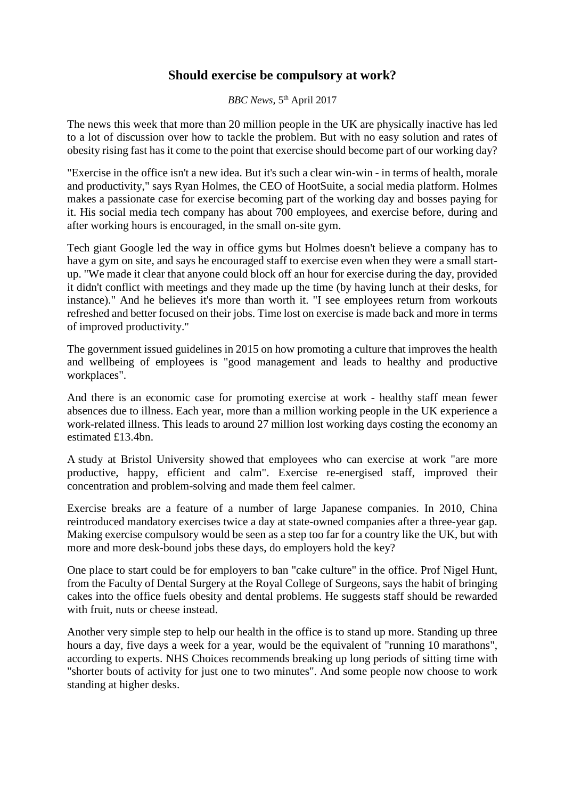# **Should exercise be compulsory at work?**

*BBC News,* 5th April 2017

The news this week that more than 20 million people in the UK are [physically inactive](http://www.bbc.co.uk/news/health-39457993) has led to a lot of discussion over how to tackle the problem. But with no easy solution and rates of obesity rising fast has it come to the point that exercise should become part of our working day?

"Exercise in the office isn't a new idea. But it's such a clear win-win - in terms of health, morale and productivity," says Ryan Holmes, the CEO of HootSuite, a social media platform. Holmes makes a passionate case for exercise becoming part of the working day and bosses paying for it. His social media tech company has about 700 employees, and exercise before, during and after working hours is encouraged, in the small on-site gym.

Tech giant Google led the way in office gyms but Holmes doesn't believe a company has to have a gym on site, and says he encouraged staff to exercise even when they were a small startup. "We made it clear that anyone could block off an hour for exercise during the day, provided it didn't conflict with meetings and they made up the time (by having lunch at their desks, for instance)." And he believes it's more than worth it. "I see employees return from workouts refreshed and better focused on their jobs. Time lost on exercise is made back and more in terms of improved productivity."

The government issued guidelines in 2015 on how promoting a culture that improves the health and wellbeing of employees is "good management and leads to healthy and productive workplaces".

And there is an economic case for promoting exercise at work - healthy staff mean fewer absences due to illness. Each year, more than a million working people in the UK experience a work-related illness. This leads to around 27 million lost working days costing the economy an estimated £13.4bn.

A [study at Bristol University showed](http://news.bbc.co.uk/1/hi/health/7785219.stm) that employees who can exercise at work "are more productive, happy, efficient and calm". Exercise re-energised staff, improved their concentration and problem-solving and made them feel calmer.

Exercise breaks are a feature of a number of large Japanese companies. In 2010, China reintroduced mandatory exercises twice a day at state-owned companies after a three-year gap. Making exercise compulsory would be seen as a step too far for a country like the UK, but with more and more desk-bound jobs these days, do employers hold the key?

One place to start could be for employers to [ban "cake culture"](http://www.bbc.co.uk/news/health-36608269) in the office. Prof Nigel Hunt, from the Faculty of Dental Surgery at the Royal College of Surgeons, says the habit of bringing cakes into the office fuels obesity and dental problems. He suggests staff should be rewarded with fruit, nuts or cheese instead.

Another very simple step to help our health in the office is to stand up more. [Standing up](http://www.bbc.co.uk/news/health-27939985) three hours a day, five days a week for a year, would be the equivalent of "running 10 marathons", according to experts. NHS Choices recommends breaking up long periods of sitting time with "shorter bouts of activity for just one to two minutes". And some people now choose to work standing at higher desks.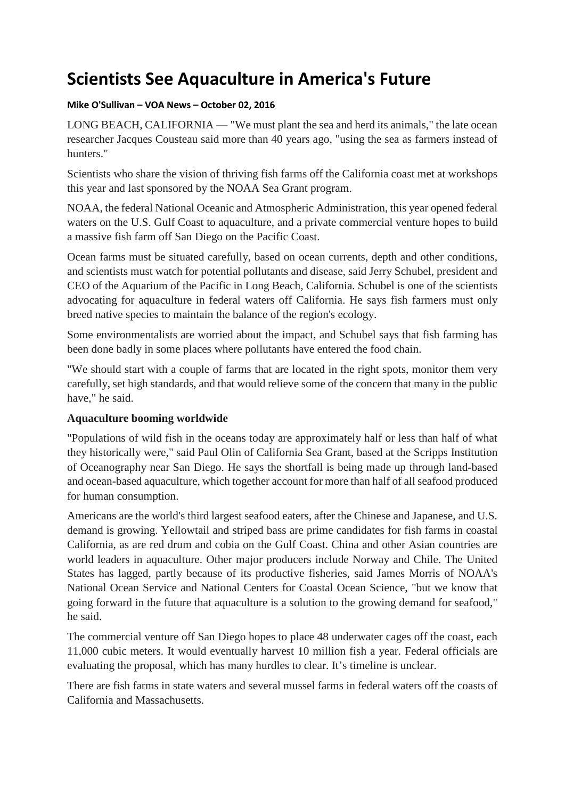# **Scientists See Aquaculture in America's Future**

#### **Mike O'Sullivan – VOA News – October 02, 2016**

LONG BEACH, CALIFORNIA — "We must plant the sea and herd its animals," the late ocean researcher Jacques Cousteau said more than 40 years ago, "using the sea as farmers instead of hunters."

Scientists who share the vision of thriving fish farms off the California coast met at workshops this year and last sponsored by the NOAA Sea Grant program.

NOAA, the federal National Oceanic and Atmospheric Administration, this year opened federal waters on the U.S. Gulf Coast to aquaculture, and a private commercial venture hopes to build a massive fish farm off San Diego on the Pacific Coast.

Ocean farms must be situated carefully, based on ocean currents, depth and other conditions, and scientists must watch for potential pollutants and disease, said Jerry Schubel, president and CEO of the Aquarium of the Pacific in Long Beach, California. Schubel is one of the scientists advocating for aquaculture in federal waters off California. He says fish farmers must only breed native species to maintain the balance of the region's ecology.

Some environmentalists are worried about the impact, and Schubel says that fish farming has been done badly in some places where pollutants have entered the food chain.

"We should start with a couple of farms that are located in the right spots, monitor them very carefully, set high standards, and that would relieve some of the concern that many in the public have," he said.

#### **Aquaculture booming worldwide**

"Populations of wild fish in the oceans today are approximately half or less than half of what they historically were," said Paul Olin of California Sea Grant, based at the Scripps Institution of Oceanography near San Diego. He says the shortfall is being made up through land-based and ocean-based aquaculture, which together account for more than half of all seafood produced for human consumption.

Americans are the world's third largest seafood eaters, after the Chinese and Japanese, and U.S. demand is growing. Yellowtail and striped bass are prime candidates for fish farms in coastal California, as are red drum and cobia on the Gulf Coast. China and other Asian countries are world leaders in aquaculture. Other major producers include Norway and Chile. The United States has lagged, partly because of its productive fisheries, said James Morris of NOAA's National Ocean Service and National Centers for Coastal Ocean Science, "but we know that going forward in the future that aquaculture is a solution to the growing demand for seafood," he said.

The commercial venture off San Diego hopes to place 48 underwater cages off the coast, each 11,000 cubic meters. It would eventually harvest 10 million fish a year. Federal officials are evaluating the proposal, which has many hurdles to clear. It's timeline is unclear.

There are fish farms in state waters and several mussel farms in federal waters off the coasts of California and Massachusetts.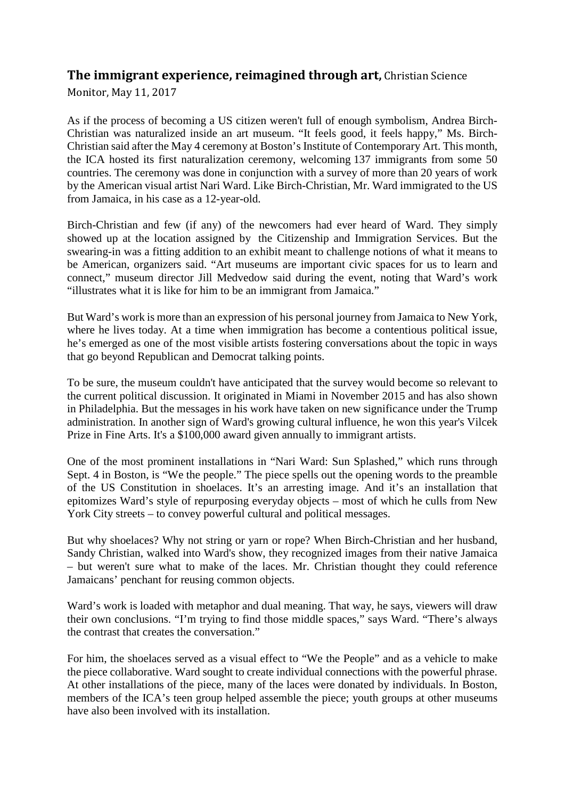# **The immigrant experience, reimagined through art,** Christian Science

Monitor, May 11, 2017

As if the process of becoming a US citizen weren't full of enough symbolism, Andrea Birch-Christian was naturalized inside an art museum. "It feels good, it feels happy," Ms. Birch-Christian said after the May 4 ceremony at Boston's Institute of Contemporary Art. This month, the ICA hosted its first naturalization ceremony, welcoming 137 immigrants from some 50 countries. The ceremony was done in conjunction with a survey of more than 20 years of work by the American visual artist Nari Ward. Like Birch-Christian, Mr. Ward immigrated to the US from Jamaica, in his case as a 12-year-old.

Birch-Christian and few (if any) of the newcomers had ever heard of Ward. They simply showed up at the location assigned by the Citizenship and Immigration Services. But the swearing-in was a fitting addition to an exhibit meant to challenge notions of what it means to be American, organizers said. "Art museums are important civic spaces for us to learn and connect," museum director Jill Medvedow said during the event, noting that Ward's work "illustrates what it is like for him to be an immigrant from Jamaica."

But Ward's work is more than an expression of his personal journey from Jamaica to New York, where he lives today. At a time when immigration has become a contentious political issue, he's emerged as one of the most visible artists fostering conversations about the topic in ways that go beyond Republican and Democrat talking points.

To be sure, the museum couldn't have anticipated that the survey would become so relevant to the current political discussion. It originated in Miami in November 2015 and has also shown in Philadelphia. But the messages in his work have taken on new significance under the Trump administration. In another sign of Ward's growing cultural influence, he won this year's Vilcek Prize in Fine Arts. It's a \$100,000 award given annually to immigrant artists.

One of the most prominent installations in "Nari Ward: Sun Splashed," which runs through Sept. 4 in Boston, is "We the people." The piece spells out the opening words to the preamble of the US Constitution in shoelaces. It's an arresting image. And it's an installation that epitomizes Ward's style of repurposing everyday objects – most of which he culls from New York City streets – to convey powerful cultural and political messages.

But why shoelaces? Why not string or yarn or rope? When Birch-Christian and her husband, Sandy Christian, walked into Ward's show, they recognized images from their native Jamaica – but weren't sure what to make of the laces. Mr. Christian thought they could reference Jamaicans' penchant for reusing common objects.

Ward's work is loaded with metaphor and dual meaning. That way, he says, viewers will draw their own conclusions. "I'm trying to find those middle spaces," says Ward. "There's always the contrast that creates the conversation."

For him, the shoelaces served as a visual effect to "We the People" and as a vehicle to make the piece collaborative. Ward sought to create individual connections with the powerful phrase. At other installations of the piece, many of the laces were donated by individuals. In Boston, members of the ICA's teen group helped assemble the piece; youth groups at other museums have also been involved with its installation.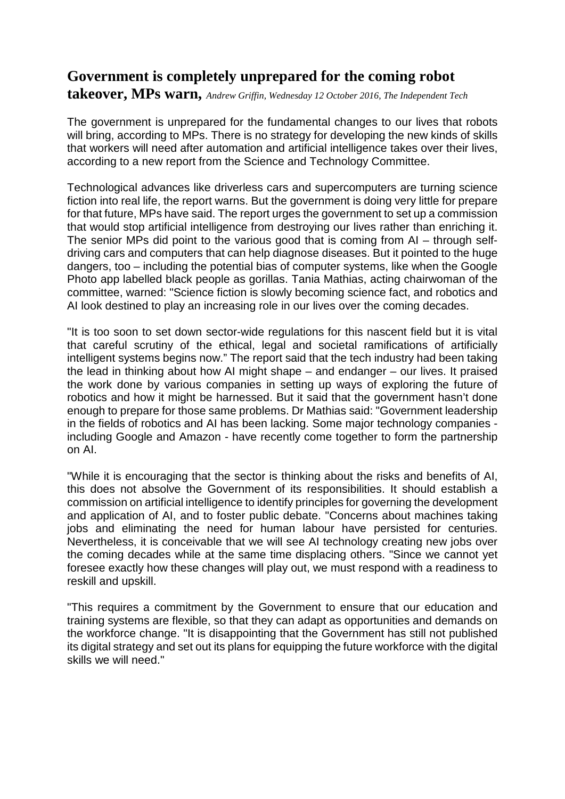# **Government is completely unprepared for the coming robot**

**takeover, MPs warn,** *[Andrew Griffin,](http://www.independent.co.uk/author/andrew-griffin) Wednesday 12 October 2016, The Independent Tech*

The government is unprepared for the fundamental changes to our lives that robots will bring, according to MPs. There is no strategy for developing the new kinds of skills that workers will need after automation and artificial intelligence takes over their lives, according to a new report from the Science and Technology Committee.

Technological advances like driverless cars and supercomputers are turning science fiction into real life, the report warns. But the government is doing very little for prepare for that future, MPs have said. The report urges the government to set up a commission that would stop artificial intelligence from destroying our lives rather than enriching it. The senior MPs did point to the various good that is coming from AI – through selfdriving cars and computers that can help diagnose diseases. But it pointed to the huge dangers, too – including the potential bias of computer systems, like when the Google Photo app labelled black people as gorillas. Tania Mathias, acting chairwoman of the committee, warned: "Science fiction is slowly becoming science fact, and robotics and AI look destined to play an increasing role in our lives over the coming decades.

"It is too soon to set down sector-wide regulations for this nascent field but it is vital that careful scrutiny of the ethical, legal and societal ramifications of artificially intelligent systems begins now." The report said that the tech industry had been taking the lead in thinking about how AI might shape – and endanger – our lives. It praised the work done by various companies in setting up ways of exploring the future of robotics and how it might be harnessed. But it said that the government hasn't done enough to prepare for those same problems. Dr Mathias said: "Government leadership in the fields of robotics and AI has been lacking. Some major technology companies including Google and Amazon - have recently come together to form the partnership on AI.

"While it is encouraging that the sector is thinking about the risks and benefits of AI, this does not absolve the Government of its responsibilities. It should establish a commission on artificial intelligence to identify principles for governing the development and application of AI, and to foster public debate. "Concerns about machines taking jobs and eliminating the need for human labour have persisted for centuries. Nevertheless, it is conceivable that we will see AI technology creating new jobs over the coming decades while at the same time displacing others. "Since we cannot yet foresee exactly how these changes will play out, we must respond with a readiness to reskill and upskill.

"This requires a commitment by the Government to ensure that our education and training systems are flexible, so that they can adapt as opportunities and demands on the workforce change. "It is disappointing that the Government has still not published its digital strategy and set out its plans for equipping the future workforce with the digital skills we will need."